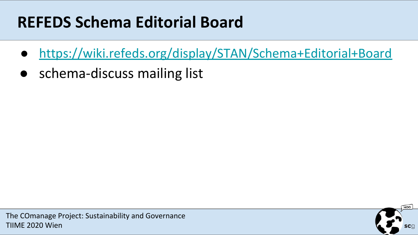#### **REFEDS Schema Editorial Board**

- <https://wiki.refeds.org/display/STAN/Schema+Editorial+Board>
- schema-discuss mailing list

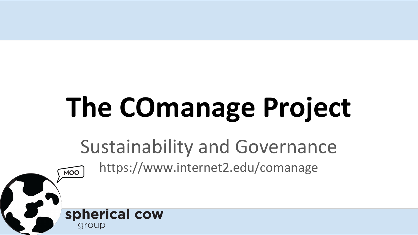# **The COmanage Project**

Sustainability and Governance https://www.internet2.edu/comanage

MOO

spherical cow

aroup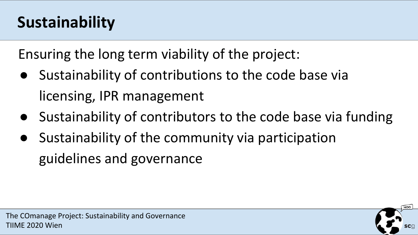## **Sustainability**

Ensuring the long term viability of the project:

- Sustainability of contributions to the code base via licensing, IPR management
- Sustainability of contributors to the code base via funding
- Sustainability of the community via participation guidelines and governance



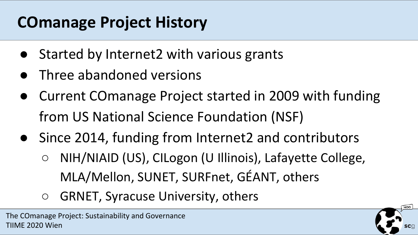### **COmanage Project History**

- Started by Internet2 with various grants
- **•** Three abandoned versions
- Current COmanage Project started in 2009 with funding from US National Science Foundation (NSF)
- Since 2014, funding from Internet2 and contributors
	- NIH/NIAID (US), CILogon (U Illinois), Lafayette College, MLA/Mellon, SUNET, SURFnet, GÉANT, others
	- GRNET, Syracuse University, others

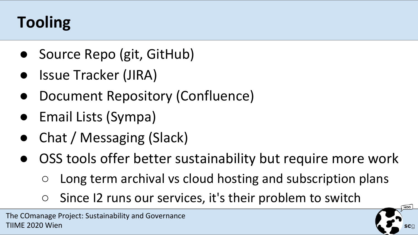# **Tooling**

- Source Repo (git, GitHub)
- Issue Tracker (JIRA)
- Document Repository (Confluence)
- **Email Lists (Sympa)**
- Chat / Messaging (Slack)
- OSS tools offer better sustainability but require more work
	- Long term archival vs cloud hosting and subscription plans
	- $\circ$  Since I2 runs our services, it's their problem to switch

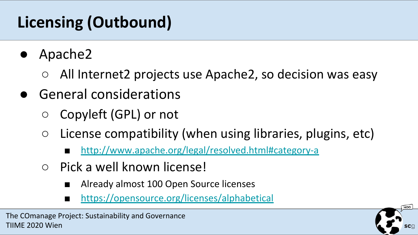## **Licensing (Outbound)**

- Apache2
	- All Internet2 projects use Apache2, so decision was easy
- General considerations
	- Copyleft (GPL) or not
	- $\circ$  License compatibility (when using libraries, plugins, etc)
		- <http://www.apache.org/legal/resolved.html#category-a>
	- Pick a well known license!
		- Already almost 100 Open Source licenses
		- <https://opensource.org/licenses/alphabetical>

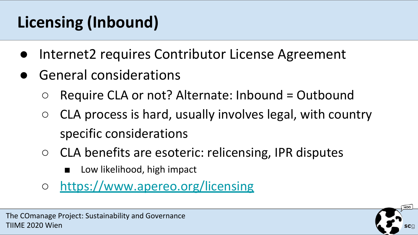# **Licensing (Inbound)**

- Internet2 requires Contributor License Agreement
- General considerations
	- $\circ$  Require CLA or not? Alternate: Inbound = Outbound
	- $\circ$  CLA process is hard, usually involves legal, with country specific considerations
	- CLA benefits are esoteric: relicensing, IPR disputes
		- Low likelihood, high impact
	- <https://www.apereo.org/licensing>



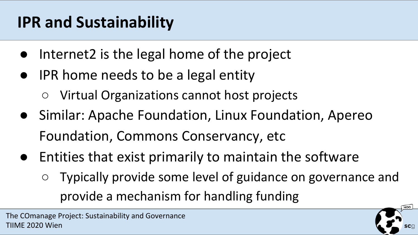## **IPR and Sustainability**

- Internet2 is the legal home of the project
- IPR home needs to be a legal entity
	- Virtual Organizations cannot host projects
- Similar: Apache Foundation, Linux Foundation, Apereo Foundation, Commons Conservancy, etc
- Entities that exist primarily to maintain the software
	- Typically provide some level of guidance on governance and provide a mechanism for handling funding

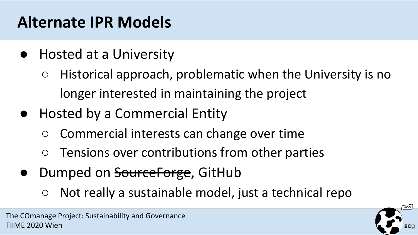#### **Alternate IPR Models**

- Hosted at a University
	- Historical approach, problematic when the University is no longer interested in maintaining the project
- Hosted by a Commercial Entity
	- Commercial interests can change over time
	- Tensions over contributions from other parties
- Dumped on <del>SourceForge</del>, GitHub
	- Not really a sustainable model, just a technical repo

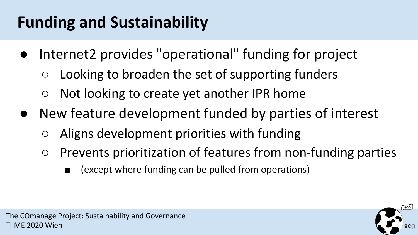## **Funding and Sustainability**

- Internet2 provides "operational" funding for project
	- $\circ$  Looking to broaden the set of supporting funders
	- Not looking to create yet another IPR home
- New feature development funded by parties of interest
	- Aligns development priorities with funding
	- Prevents prioritization of features from non-funding parties
		- (except where funding can be pulled from operations)

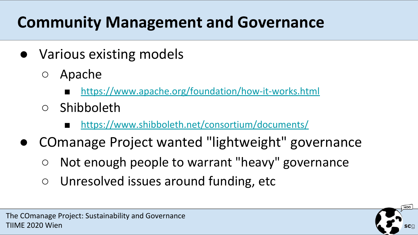## **Community Management and Governance**

- Various existing models
	- Apache
		- <https://www.apache.org/foundation/how-it-works.html>
	- Shibboleth
		- <https://www.shibboleth.net/consortium/documents/>
- COmanage Project wanted "lightweight" governance
	- Not enough people to warrant "heavy" governance
	- Unresolved issues around funding, etc